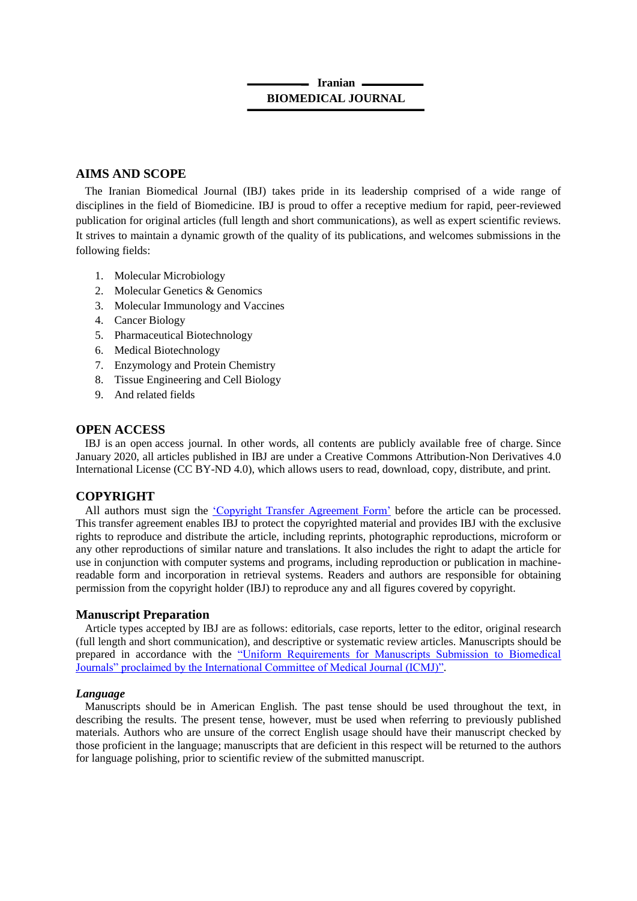# **Iranian BIOMEDICAL JOURNAL**

## **AIMS AND SCOPE**

The Iranian Biomedical Journal (IBJ) takes pride in its leadership comprised of a wide range of disciplines in the field of Biomedicine. IBJ is proud to offer a receptive medium for rapid, peer-reviewed publication for original articles (full length and short communications), as well as expert scientific reviews. It strives to maintain a dynamic growth of the quality of its publications, and welcomes submissions in the following fields:

- 1. Molecular Microbiology
- 2. Molecular Genetics & Genomics
- 3. Molecular Immunology and Vaccines
- 4. Cancer Biology
- 5. Pharmaceutical Biotechnology
- 6. Medical Biotechnology
- 7. Enzymology and Protein Chemistry
- 8. Tissue Engineering and Cell Biology
- 9. And related fields

## **OPEN ACCESS**

IBJ is an open access journal. In other words, all contents are publicly available free of charge. Since January 2020, all articles published in IBJ are under a Creative Commons Attribution-Non Derivatives 4.0 International License (CC BY-ND 4.0), which allows users to read, download, copy, distribute, and print.

# **COPYRIGHT**

All authors must sign the ['Copyright Transfer Agreement Form'](http://ibj.pasteur.ac.ir/files/site1/files/Assignment(4).pdf) before the article can be processed. This transfer agreement enables IBJ to protect the copyrighted material and provides IBJ with the exclusive rights to reproduce and distribute the article, including reprints, photographic reproductions, microform or any other reproductions of similar nature and translations. It also includes the right to adapt the article for use in conjunction with computer systems and programs, including reproduction or publication in machinereadable form and incorporation in retrieval systems. Readers and authors are responsible for obtaining permission from the copyright holder (IBJ) to reproduce any and all figures covered by copyright.

## **Manuscript Preparation**

Article types accepted by IBJ are as follows: editorials, case reports, letter to the editor, original research (full length and short communication), and descriptive or systematic review articles. Manuscripts should be prepared in accordance with the "Uniform Requirements for Manuscripts Submission to Biomedical [Journals" proclaimed by the International Committee of Medical Journal \(ICMJ\)".](https://www.ncbi.nlm.nih.gov/pmc/articles/PMC3142758/)

## *Language*

Manuscripts should be in American English. The past tense should be used throughout the text, in describing the results. The present tense, however, must be used when referring to previously published materials. Authors who are unsure of the correct English usage should have their manuscript checked by those proficient in the language; manuscripts that are deficient in this respect will be returned to the authors for language polishing, prior to scientific review of the submitted manuscript.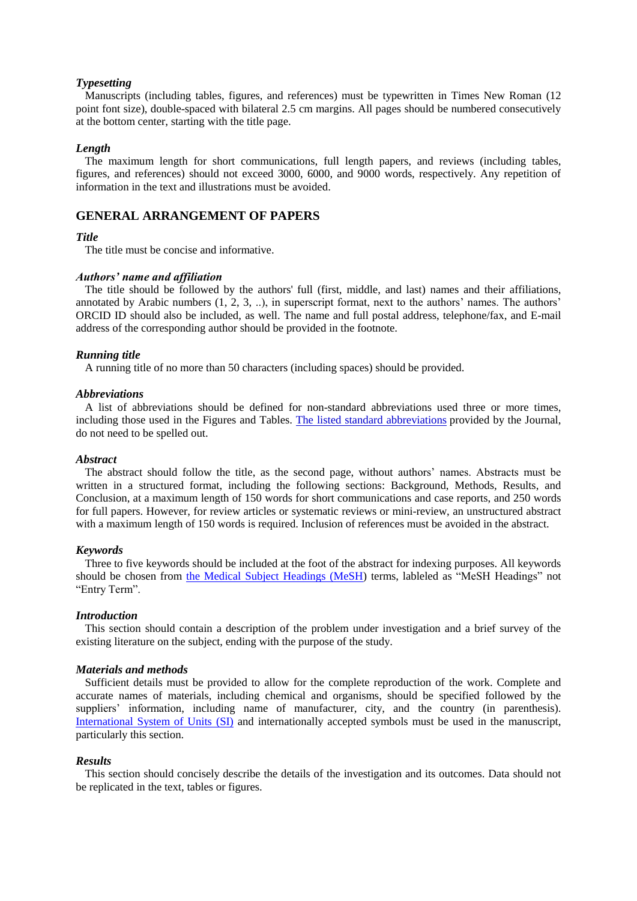### *Typesetting*

Manuscripts (including tables, figures, and references) must be typewritten in Times New Roman (12 point font size), double-spaced with bilateral 2.5 cm margins. All pages should be numbered consecutively at the bottom center, starting with the title page.

#### *Length*

The maximum length for short communications, full length papers, and reviews (including tables, figures, and references) should not exceed 3000, 6000, and 9000 words, respectively. Any repetition of information in the text and illustrations must be avoided.

### **GENERAL ARRANGEMENT OF PAPERS**

### *Title*

The title must be concise and informative.

### *Authors' name and affiliation*

The title should be followed by the authors' full (first, middle, and last) names and their affiliations, annotated by Arabic numbers (1, 2, 3, ..), in superscript format, next to the authors' names. The authors' [ORCID ID](https://orcid.org/) should also be included, as well. The name and full postal address, telephone/fax, and E-mail address of the corresponding author should be provided in the footnote.

### *Running title*

A running title of no more than 50 characters (including spaces) should be provided.

#### *Abbreviations*

A list of abbreviations should be defined for non-standard abbreviations used three or more times, including those used in the Figures and Tables. The listed standard [abbreviations](http://ibj.pasteur.ac.ir/files/site1/files/Abbreviation.pdf) provided by the Journal, do not need to be spelled out.

#### *Abstract*

The abstract should follow the title, as the second page, without authors' names. Abstracts must be written in a structured format, including the following sections: Background, Methods, Results, and Conclusion, at a maximum length of 150 words for short communications and case reports, and 250 words for full papers. However, for review articles or systematic reviews or mini-review, an unstructured abstract with a maximum length of 150 words is required. Inclusion of references must be avoided in the abstract.

#### *Keywords*

Three to five keywords should be included at the foot of the abstract for indexing purposes. All keywords should be chosen from [the Medical Subject Headings \(MeSH\)](http://www.nlm.nih.gov/mesh/MBrowser.html) terms, lableled as "MeSH Headings" not "Entry Term".

#### *Introduction*

This section should contain a description of the problem under investigation and a brief survey of the existing literature on the subject, ending with the purpose of the study.

### *Materials and methods*

Sufficient details must be provided to allow for the complete reproduction of the work. Complete and accurate names of materials, including chemical and organisms, should be specified followed by the suppliers' information, including name of manufacturer, city, and the country (in parenthesis). [International System of Units \(SI\)](https://www.nist.gov/pml/weights-and-measures/metric-si/si-units) and internationally accepted symbols must be used in the manuscript, particularly this section.

#### *Results*

This section should concisely describe the details of the investigation and its outcomes. Data should not be replicated in the text, tables or figures.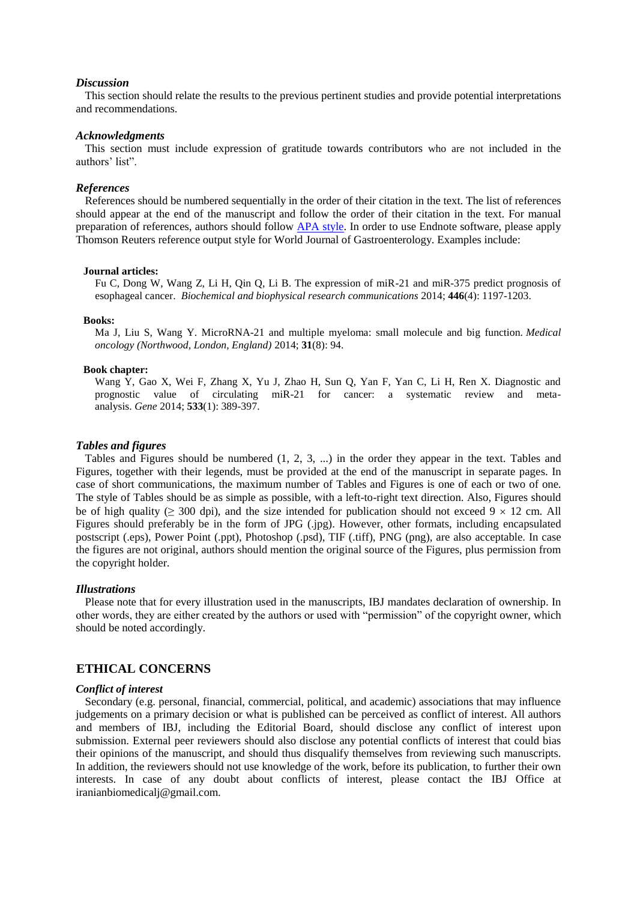#### *Discussion*

This section should relate the results to the previous pertinent studies and provide potential interpretations and recommendations.

#### *Acknowledgments*

This section must include expression of gratitude towards contributors who are not included in the authors' list".

#### *References*

References should be numbered sequentially in the order of their citation in the text. The list of references should appear at the end of the manuscript and follow the order of their citation in the text. For manual preparation of references, authors should follow [APA style.](https://www.mendeley.com/guides/apa-citation-guide/) In order to use Endnote software, please apply Thomson Reuters reference output style for World Journal of Gastroenterology. Examples include:

#### **Journal articles:**

Fu C, Dong W, Wang Z, Li H, Qin Q, Li B. The expression of miR-21 and miR-375 predict prognosis of esophageal cancer. *Biochemical and biophysical research communications* 2014; **446**(4): 1197-1203.

#### **Books:**

Ma J, Liu S, Wang Y. MicroRNA-21 and multiple myeloma: small molecule and big function. *Medical oncology (Northwood, London, England)* 2014; **31**(8): 94.

### **Book chapter:**

Wang Y, Gao X, Wei F, Zhang X, Yu J, Zhao H, Sun Q, Yan F, Yan C, Li H, Ren X. Diagnostic and prognostic value of circulating miR-21 for cancer: a systematic review and metaanalysis. *Gene* 2014; **533**(1): 389-397.

#### *Tables and figures*

Tables and Figures should be numbered (1, 2, 3, ...) in the order they appear in the text. Tables and Figures, together with their legends, must be provided at the end of the manuscript in separate pages. In case of short communications, the maximum number of Tables and Figures is one of each or two of one. The style of Tables should be as simple as possible, with a left-to-right text direction. Also, Figures should be of high quality ( $\geq$  300 dpi), and the size intended for publication should not exceed 9  $\times$  12 cm. All Figures should preferably be in the form of JPG (.jpg). However, other formats, including encapsulated postscript (.eps), Power Point (.ppt), Photoshop (.psd), TIF (.tiff), PNG (png), are also acceptable. In case the figures are not original, authors should mention the original source of the Figures, plus permission from the copyright holder.

### *Illustrations*

Please note that for every illustration used in the manuscripts, IBJ mandates declaration of ownership. In other words, they are either created by the authors or used with "permission" of the copyright owner, which should be noted accordingly.

### **ETHICAL CONCERNS**

#### *Conflict of interest*

Secondary (e.g. personal, financial, commercial, political, and academic) associations that may influence judgements on a primary decision or what is published can be perceived as conflict of interest. All authors and members of IBJ, including the Editorial Board, should disclose any conflict of interest upon submission. External peer reviewers should also disclose any potential conflicts of interest that could bias their opinions of the manuscript, and should thus disqualify themselves from reviewing such manuscripts. In addition, the reviewers should not use knowledge of the work, before its publication, to further their own interests. In case of any doubt about conflicts of interest, please contact the IBJ Office at iranianbiomedicalj@gmail.com.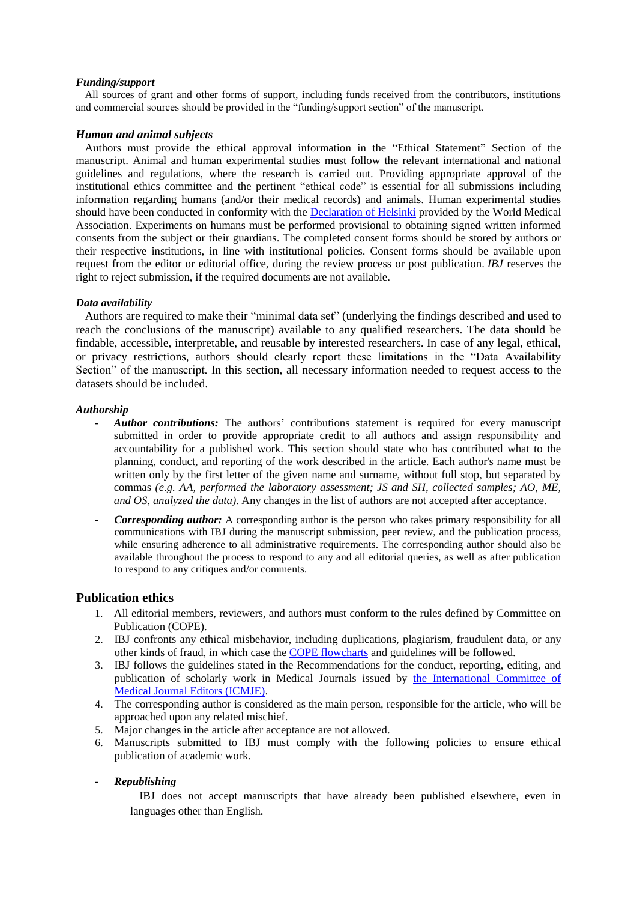### *Funding/support*

All sources of grant and other forms of support, including funds received from the contributors, institutions and commercial sources should be provided in the "funding/support section" of the manuscript.

### *[Human and animal subjects](https://sites.kowsarpub.com/ijp/knowledgebase/category/tree.html#human_rights.html)*

Authors must provide the ethical approval information in the "Ethical Statement" Section of the manuscript. Animal and human experimental studies must follow the relevant international and national guidelines and regulations, where the research is carried out. Providing appropriate approval of the institutional ethics committee and the pertinent "ethical code" is essential for all submissions including information regarding humans (and/or their medical records) and animals. Human experimental studies should have been conducted in conformity with the [Declaration of Helsinki](https://www.wma.net/policies-post/wma-declaration-of-helsinki-ethical-principles-for-medical-research-involving-human-subjects/) provided by the World Medical Association. Experiments on humans must be performed provisional to obtaining signed written informed consents from the subject or their guardians. The completed consent forms should be stored by authors or their respective institutions, in line with institutional policies. Consent forms should be available upon request from the editor or editorial office, during the review process or post publication. *IBJ* reserves the right to reject submission, if the required documents are not available.

### *Data availability*

Authors are required to make their "minimal data set" (underlying the findings described and used to reach the conclusions of the manuscript) available to any qualified researchers. The data should be findable, accessible, interpretable, and reusable by interested researchers. In case of any legal, ethical, or privacy restrictions, authors should clearly report these limitations in the "Data Availability Section" of the manuscript. In this section, all necessary information needed to request access to the datasets should be included.

### *Authorship*

- *Author contributions:* The authors' contributions statement is required for every manuscript submitted in order to provide appropriate credit to all authors and assign responsibility and accountability for a published work. This section should state who has contributed what to the planning, conduct, and reporting of the work described in the article. Each author's name must be written only by the first letter of the given name and surname, without full stop, but separated by commas *(e.g. AA, performed the laboratory assessment; JS and SH, collected samples; AO, ME, and OS, analyzed the data)*. Any changes in the list of authors are not accepted after acceptance.
- *Corresponding author:* A corresponding author is the person who takes primary responsibility for all communications with IBJ during the manuscript submission, peer review, and the publication process, while ensuring adherence to all administrative requirements. The corresponding author should also be available throughout the process to respond to any and all editorial queries, as well as after publication to respond to any critiques and/or comments.

## **Publication ethics**

- 1. All editorial members, reviewers, and authors must conform to the rules defined by Committee on Publication (COPE).
- 2. IBJ confronts any ethical misbehavior, including duplications, plagiarism, fraudulent data, or any other kinds of fraud, in which case th[e COPE flowcharts](https://publicationethics.org/files/duplicate-publication-submitted-manuscript-cope-flowchart.pdf) and guidelines will be followed.
- 3. IBJ follows the guidelines stated in the Recommendations for the conduct, reporting, editing, and publication of scholarly work in Medical Journals issued by [the International Committee of](http://www.icmje.org/#privacy)  [Medical Journal Editors \(ICMJE\).](http://www.icmje.org/#privacy)
- 4. The corresponding author is considered as the main person, responsible for the article, who will be approached upon any related mischief.
- 5. Major changes in the article after acceptance are not allowed.
- 6. Manuscripts submitted to IBJ must comply with the following policies to ensure ethical publication of academic work.
- *- Republishing*

[IBJ](https://sites.kowsarpub.com/ijp/knowledgebase/category/tree.html#republishing1.html) does not accept manuscripts that have already been published elsewhere, even in languages other than English.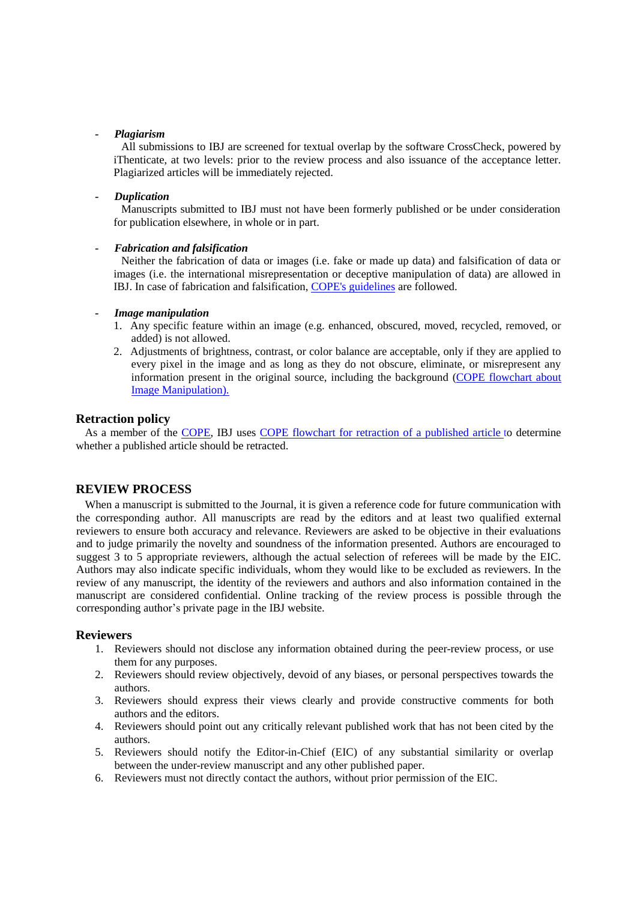### *- Plagiarism*

All submissions to IBJ are screened for textual overlap by the software CrossCheck, powered by iThenticate, at two levels: prior to the review process and also issuance of the acceptance letter. Plagiarized articles will be immediately rejected.

### *- Duplication*

Manuscripts submitted to IBJ must not have been formerly published or be under consideration for publication elsewhere, in whole or in part.

### *- Fabrication and falsification*

Neither the fabrication of data or images (i.e. fake or made up data) and falsification of data or images (i.e. the international misrepresentation or deceptive manipulation of data) are allowed in IBJ. In case of fabrication and falsification, COPE's [guidelines](https://publicationethics.org/) are followed.

### *- Image manipulation*

- 1. Any specific feature within an image (e.g. enhanced, obscured, moved, recycled, removed, or added) is not allowed.
- 2. Adjustments of brightness, contrast, or color balance are acceptable, only if they are applied to every pixel in the image and as long as they do not obscure, eliminate, or misrepresent any information present in the original source, including the background [\(COPE flowchart about](https://publicationethics.org/resources/flowcharts/image-manipulation-published-article)  [Image Manipulation\)](https://publicationethics.org/resources/flowcharts/image-manipulation-published-article).

### **Retraction policy**

As a member of the [COPE,](https://publicationethics.org/members/iranian-biomedical-journal) IBJ uses COPE flowchart for retraction of a [published](http://ibj.pasteur.ac.ir/files/site1/files/Retractions_COPE_gline_final_3_Sept_09__2_.pdf) article to determine whether a published article should be retracted.

## **REVIEW PROCESS**

When a manuscript is submitted to the Journal, it is given a reference code for future communication with the corresponding author. All manuscripts are read by the editors and at least two qualified external reviewers to ensure both accuracy and relevance. Reviewers are asked to be objective in their evaluations and to judge primarily the novelty and soundness of the information presented. Authors are encouraged to suggest 3 to 5 appropriate reviewers, although the actual selection of referees will be made by the EIC. Authors may also indicate specific individuals, whom they would like to be excluded as reviewers. In the review of any manuscript, the identity of the reviewers and authors and also information contained in the manuscript are considered confidential. Online tracking of the review process is possible through the corresponding author's private page in the IBJ website.

## **Reviewers**

- 1. Reviewers should not disclose any information obtained during the peer-review process, or use them for any purposes.
- 2. Reviewers should review objectively, devoid of any biases, or personal perspectives towards the authors.
- 3. Reviewers should express their views clearly and provide constructive comments for both authors and the editors.
- 4. Reviewers should point out any critically relevant published work that has not been cited by the authors.
- 5. Reviewers should notify the Editor-in-Chief (EIC) of any substantial similarity or overlap between the under-review manuscript and any other published paper.
- 6. Reviewers must not directly contact the authors, without prior permission of the EIC.